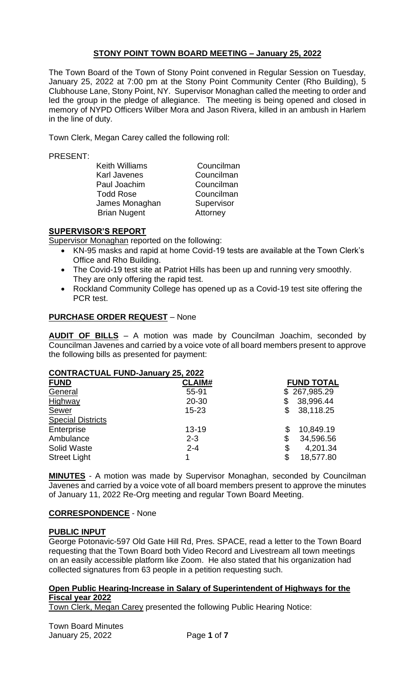# **STONY POINT TOWN BOARD MEETING – January 25, 2022**

The Town Board of the Town of Stony Point convened in Regular Session on Tuesday, January 25, 2022 at 7:00 pm at the Stony Point Community Center (Rho Building), 5 Clubhouse Lane, Stony Point, NY. Supervisor Monaghan called the meeting to order and led the group in the pledge of allegiance. The meeting is being opened and closed in memory of NYPD Officers Wilber Mora and Jason Rivera, killed in an ambush in Harlem in the line of duty.

Town Clerk, Megan Carey called the following roll:

#### PRESENT:

| <b>Keith Williams</b> | Councilman |
|-----------------------|------------|
| <b>Karl Javenes</b>   | Councilman |
| Paul Joachim          | Councilman |
| <b>Todd Rose</b>      | Councilman |
| James Monaghan        | Supervisor |
| <b>Brian Nugent</b>   | Attorney   |

# **SUPERVISOR'S REPORT**

Supervisor Monaghan reported on the following:

- KN-95 masks and rapid at home Covid-19 tests are available at the Town Clerk's Office and Rho Building.
- The Covid-19 test site at Patriot Hills has been up and running very smoothly. They are only offering the rapid test.
- Rockland Community College has opened up as a Covid-19 test site offering the PCR test.

# **PURCHASE ORDER REQUEST** – None

**AUDIT OF BILLS** – A motion was made by Councilman Joachim, seconded by Councilman Javenes and carried by a voice vote of all board members present to approve the following bills as presented for payment:

# **CONTRACTUAL FUND-January 25, 2022**

| <b>FUND</b>              | <b>CLAIM#</b> | <b>FUND TOTAL</b> |
|--------------------------|---------------|-------------------|
| General                  | 55-91         | 267,985.29<br>\$  |
| Highway                  | $20 - 30$     | 38,996.44<br>\$   |
| Sewer                    | $15 - 23$     | 38,118.25<br>\$   |
| <b>Special Districts</b> |               |                   |
| Enterprise               | $13 - 19$     | 10,849.19<br>\$   |
| Ambulance                | $2 - 3$       | 34,596.56<br>\$   |
| <b>Solid Waste</b>       | $2 - 4$       | 4,201.34<br>\$    |
| <b>Street Light</b>      |               | 18,577.80<br>\$   |
|                          |               |                   |

**MINUTES** - A motion was made by Supervisor Monaghan, seconded by Councilman Javenes and carried by a voice vote of all board members present to approve the minutes of January 11, 2022 Re-Org meeting and regular Town Board Meeting.

# **CORRESPONDENCE** - None

# **PUBLIC INPUT**

George Potonavic-597 Old Gate Hill Rd, Pres. SPACE, read a letter to the Town Board requesting that the Town Board both Video Record and Livestream all town meetings on an easily accessible platform like Zoom. He also stated that his organization had collected signatures from 63 people in a petition requesting such.

#### **Open Public Hearing-Increase in Salary of Superintendent of Highways for the Fiscal year 2022**

Town Clerk, Megan Carey presented the following Public Hearing Notice: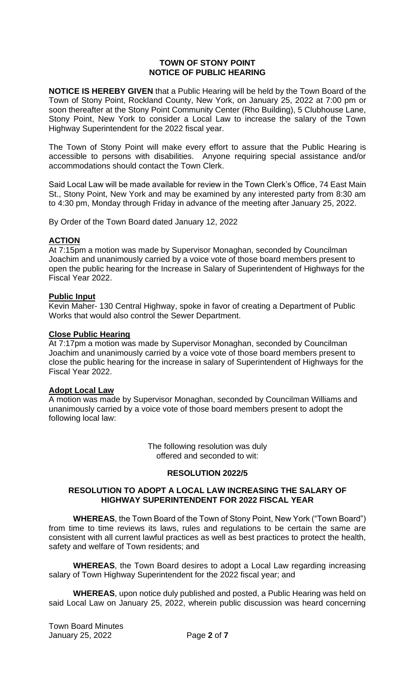#### **TOWN OF STONY POINT NOTICE OF PUBLIC HEARING**

**NOTICE IS HEREBY GIVEN** that a Public Hearing will be held by the Town Board of the Town of Stony Point, Rockland County, New York, on January 25, 2022 at 7:00 pm or soon thereafter at the Stony Point Community Center (Rho Building), 5 Clubhouse Lane, Stony Point, New York to consider a Local Law to increase the salary of the Town Highway Superintendent for the 2022 fiscal year.

The Town of Stony Point will make every effort to assure that the Public Hearing is accessible to persons with disabilities. Anyone requiring special assistance and/or accommodations should contact the Town Clerk.

Said Local Law will be made available for review in the Town Clerk's Office, 74 East Main St., Stony Point, New York and may be examined by any interested party from 8:30 am to 4:30 pm, Monday through Friday in advance of the meeting after January 25, 2022.

By Order of the Town Board dated January 12, 2022

# **ACTION**

At 7:15pm a motion was made by Supervisor Monaghan, seconded by Councilman Joachim and unanimously carried by a voice vote of those board members present to open the public hearing for the Increase in Salary of Superintendent of Highways for the Fiscal Year 2022.

#### **Public Input**

Kevin Maher- 130 Central Highway, spoke in favor of creating a Department of Public Works that would also control the Sewer Department.

#### **Close Public Hearing**

At 7:17pm a motion was made by Supervisor Monaghan, seconded by Councilman Joachim and unanimously carried by a voice vote of those board members present to close the public hearing for the increase in salary of Superintendent of Highways for the Fiscal Year 2022.

#### **Adopt Local Law**

A motion was made by Supervisor Monaghan, seconded by Councilman Williams and unanimously carried by a voice vote of those board members present to adopt the following local law:

> The following resolution was duly offered and seconded to wit:

#### **RESOLUTION 2022/5**

#### **RESOLUTION TO ADOPT A LOCAL LAW INCREASING THE SALARY OF HIGHWAY SUPERINTENDENT FOR 2022 FISCAL YEAR**

**WHEREAS**, the Town Board of the Town of Stony Point, New York ("Town Board") from time to time reviews its laws, rules and regulations to be certain the same are consistent with all current lawful practices as well as best practices to protect the health, safety and welfare of Town residents; and

**WHEREAS**, the Town Board desires to adopt a Local Law regarding increasing salary of Town Highway Superintendent for the 2022 fiscal year; and

**WHEREAS**, upon notice duly published and posted, a Public Hearing was held on said Local Law on January 25, 2022, wherein public discussion was heard concerning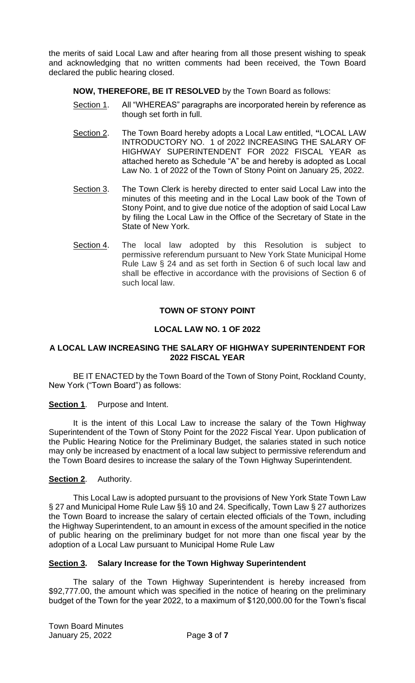the merits of said Local Law and after hearing from all those present wishing to speak and acknowledging that no written comments had been received, the Town Board declared the public hearing closed.

**NOW, THEREFORE, BE IT RESOLVED** by the Town Board as follows:

- Section 1. All "WHEREAS" paragraphs are incorporated herein by reference as though set forth in full.
- Section 2. The Town Board hereby adopts a Local Law entitled, **"**LOCAL LAW INTRODUCTORY NO. 1 of 2022 INCREASING THE SALARY OF HIGHWAY SUPERINTENDENT FOR 2022 FISCAL YEAR as attached hereto as Schedule "A" be and hereby is adopted as Local Law No. 1 of 2022 of the Town of Stony Point on January 25, 2022.
- Section 3. The Town Clerk is hereby directed to enter said Local Law into the minutes of this meeting and in the Local Law book of the Town of Stony Point, and to give due notice of the adoption of said Local Law by filing the Local Law in the Office of the Secretary of State in the State of New York.
- Section 4. The local law adopted by this Resolution is subject to permissive referendum pursuant to New York State Municipal Home Rule Law § 24 and as set forth in Section 6 of such local law and shall be effective in accordance with the provisions of Section 6 of such local law.

# **TOWN OF STONY POINT**

# **LOCAL LAW NO. 1 OF 2022**

#### **A LOCAL LAW INCREASING THE SALARY OF HIGHWAY SUPERINTENDENT FOR 2022 FISCAL YEAR**

BE IT ENACTED by the Town Board of the Town of Stony Point, Rockland County, New York ("Town Board") as follows:

**Section 1.** Purpose and Intent.

It is the intent of this Local Law to increase the salary of the Town Highway Superintendent of the Town of Stony Point for the 2022 Fiscal Year. Upon publication of the Public Hearing Notice for the Preliminary Budget, the salaries stated in such notice may only be increased by enactment of a local law subject to permissive referendum and the Town Board desires to increase the salary of the Town Highway Superintendent.

# **Section 2**. Authority.

This Local Law is adopted pursuant to the provisions of New York State Town Law § 27 and Municipal Home Rule Law §§ 10 and 24. Specifically, Town Law § 27 authorizes the Town Board to increase the salary of certain elected officials of the Town, including the Highway Superintendent, to an amount in excess of the amount specified in the notice of public hearing on the preliminary budget for not more than one fiscal year by the adoption of a Local Law pursuant to Municipal Home Rule Law

# **Section 3. Salary Increase for the Town Highway Superintendent**

The salary of the Town Highway Superintendent is hereby increased from \$92,777.00, the amount which was specified in the notice of hearing on the preliminary budget of the Town for the year 2022, to a maximum of \$120,000.00 for the Town's fiscal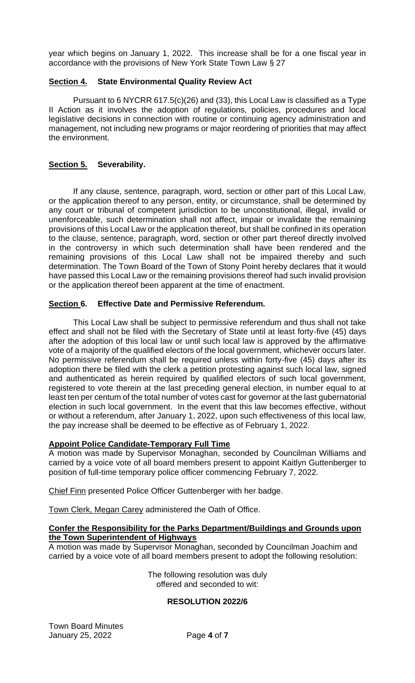year which begins on January 1, 2022. This increase shall be for a one fiscal year in accordance with the provisions of New York State Town Law § 27

# **Section 4. State Environmental Quality Review Act**

Pursuant to 6 NYCRR 617.5(c)(26) and (33), this Local Law is classified as a Type II Action as it involves the adoption of regulations, policies, procedures and local legislative decisions in connection with routine or continuing agency administration and management, not including new programs or major reordering of priorities that may affect the environment.

# **Section 5. Severability.**

If any clause, sentence, paragraph, word, section or other part of this Local Law, or the application thereof to any person, entity, or circumstance, shall be determined by any court or tribunal of competent jurisdiction to be unconstitutional, illegal, invalid or unenforceable, such determination shall not affect, impair or invalidate the remaining provisions of this Local Law or the application thereof, but shall be confined in its operation to the clause, sentence, paragraph, word, section or other part thereof directly involved in the controversy in which such determination shall have been rendered and the remaining provisions of this Local Law shall not be impaired thereby and such determination. The Town Board of the Town of Stony Point hereby declares that it would have passed this Local Law or the remaining provisions thereof had such invalid provision or the application thereof been apparent at the time of enactment.

# **Section 6. Effective Date and Permissive Referendum.**

This Local Law shall be subject to permissive referendum and thus shall not take effect and shall not be filed with the Secretary of State until at least forty-five (45) days after the adoption of this local law or until such local law is approved by the affirmative vote of a majority of the qualified electors of the local government, whichever occurs later. No permissive referendum shall be required unless within forty-five (45) days after its adoption there be filed with the clerk a petition protesting against such local law, signed and authenticated as herein required by qualified electors of such local government, registered to vote therein at the last preceding general election, in number equal to at least ten per centum of the total number of votes cast for governor at the last gubernatorial election in such local government. In the event that this law becomes effective, without or without a referendum, after January 1, 2022, upon such effectiveness of this local law, the pay increase shall be deemed to be effective as of February 1, 2022.

# **Appoint Police Candidate-Temporary Full Time**

A motion was made by Supervisor Monaghan, seconded by Councilman Williams and carried by a voice vote of all board members present to appoint Kaitlyn Guttenberger to position of full-time temporary police officer commencing February 7, 2022.

Chief Finn presented Police Officer Guttenberger with her badge.

Town Clerk, Megan Carey administered the Oath of Office.

#### **Confer the Responsibility for the Parks Department/Buildings and Grounds upon the Town Superintendent of Highways**

A motion was made by Supervisor Monaghan, seconded by Councilman Joachim and carried by a voice vote of all board members present to adopt the following resolution:

> The following resolution was duly offered and seconded to wit:

#### **RESOLUTION 2022/6**

Town Board Minutes January 25, 2022 Page **4** of **7**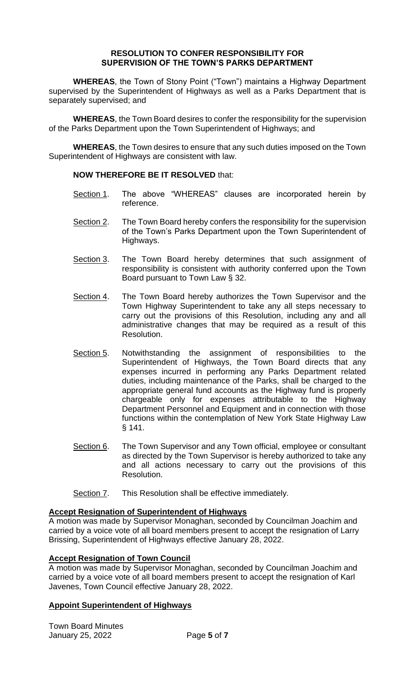#### **RESOLUTION TO CONFER RESPONSIBILITY FOR SUPERVISION OF THE TOWN'S PARKS DEPARTMENT**

**WHEREAS**, the Town of Stony Point ("Town") maintains a Highway Department supervised by the Superintendent of Highways as well as a Parks Department that is separately supervised; and

**WHEREAS**, the Town Board desires to confer the responsibility for the supervision of the Parks Department upon the Town Superintendent of Highways; and

**WHEREAS**, the Town desires to ensure that any such duties imposed on the Town Superintendent of Highways are consistent with law.

#### **NOW THEREFORE BE IT RESOLVED** that:

- Section 1. The above "WHEREAS" clauses are incorporated herein by reference.
- Section 2. The Town Board hereby confers the responsibility for the supervision of the Town's Parks Department upon the Town Superintendent of Highways.
- Section 3. The Town Board hereby determines that such assignment of responsibility is consistent with authority conferred upon the Town Board pursuant to Town Law § 32.
- Section 4. The Town Board hereby authorizes the Town Supervisor and the Town Highway Superintendent to take any all steps necessary to carry out the provisions of this Resolution, including any and all administrative changes that may be required as a result of this Resolution.
- Section 5. Notwithstanding the assignment of responsibilities to the Superintendent of Highways, the Town Board directs that any expenses incurred in performing any Parks Department related duties, including maintenance of the Parks, shall be charged to the appropriate general fund accounts as the Highway fund is properly chargeable only for expenses attributable to the Highway Department Personnel and Equipment and in connection with those functions within the contemplation of New York State Highway Law § 141.
- Section 6. The Town Supervisor and any Town official, employee or consultant as directed by the Town Supervisor is hereby authorized to take any and all actions necessary to carry out the provisions of this Resolution.
- Section 7. This Resolution shall be effective immediately.

#### **Accept Resignation of Superintendent of Highways**

A motion was made by Supervisor Monaghan, seconded by Councilman Joachim and carried by a voice vote of all board members present to accept the resignation of Larry Brissing, Superintendent of Highways effective January 28, 2022.

# **Accept Resignation of Town Council**

A motion was made by Supervisor Monaghan, seconded by Councilman Joachim and carried by a voice vote of all board members present to accept the resignation of Karl Javenes, Town Council effective January 28, 2022.

# **Appoint Superintendent of Highways**

Town Board Minutes January 25, 2022 Page **5** of **7**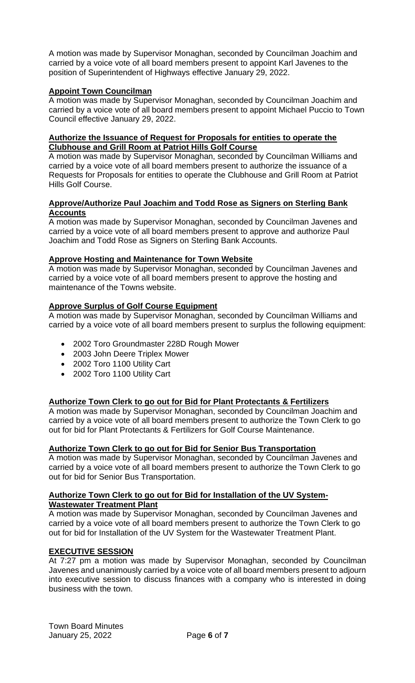A motion was made by Supervisor Monaghan, seconded by Councilman Joachim and carried by a voice vote of all board members present to appoint Karl Javenes to the position of Superintendent of Highways effective January 29, 2022.

# **Appoint Town Councilman**

A motion was made by Supervisor Monaghan, seconded by Councilman Joachim and carried by a voice vote of all board members present to appoint Michael Puccio to Town Council effective January 29, 2022.

#### **Authorize the Issuance of Request for Proposals for entities to operate the Clubhouse and Grill Room at Patriot Hills Golf Course**

A motion was made by Supervisor Monaghan, seconded by Councilman Williams and carried by a voice vote of all board members present to authorize the issuance of a Requests for Proposals for entities to operate the Clubhouse and Grill Room at Patriot Hills Golf Course.

#### **Approve/Authorize Paul Joachim and Todd Rose as Signers on Sterling Bank Accounts**

A motion was made by Supervisor Monaghan, seconded by Councilman Javenes and carried by a voice vote of all board members present to approve and authorize Paul Joachim and Todd Rose as Signers on Sterling Bank Accounts.

# **Approve Hosting and Maintenance for Town Website**

A motion was made by Supervisor Monaghan, seconded by Councilman Javenes and carried by a voice vote of all board members present to approve the hosting and maintenance of the Towns website.

# **Approve Surplus of Golf Course Equipment**

A motion was made by Supervisor Monaghan, seconded by Councilman Williams and carried by a voice vote of all board members present to surplus the following equipment:

- 2002 Toro Groundmaster 228D Rough Mower
- 2003 John Deere Triplex Mower
- 2002 Toro 1100 Utility Cart
- 2002 Toro 1100 Utility Cart

# **Authorize Town Clerk to go out for Bid for Plant Protectants & Fertilizers**

A motion was made by Supervisor Monaghan, seconded by Councilman Joachim and carried by a voice vote of all board members present to authorize the Town Clerk to go out for bid for Plant Protectants & Fertilizers for Golf Course Maintenance.

# **Authorize Town Clerk to go out for Bid for Senior Bus Transportation**

A motion was made by Supervisor Monaghan, seconded by Councilman Javenes and carried by a voice vote of all board members present to authorize the Town Clerk to go out for bid for Senior Bus Transportation.

#### **Authorize Town Clerk to go out for Bid for Installation of the UV System-Wastewater Treatment Plant**

A motion was made by Supervisor Monaghan, seconded by Councilman Javenes and carried by a voice vote of all board members present to authorize the Town Clerk to go out for bid for Installation of the UV System for the Wastewater Treatment Plant.

# **EXECUTIVE SESSION**

At 7:27 pm a motion was made by Supervisor Monaghan, seconded by Councilman Javenes and unanimously carried by a voice vote of all board members present to adjourn into executive session to discuss finances with a company who is interested in doing business with the town.